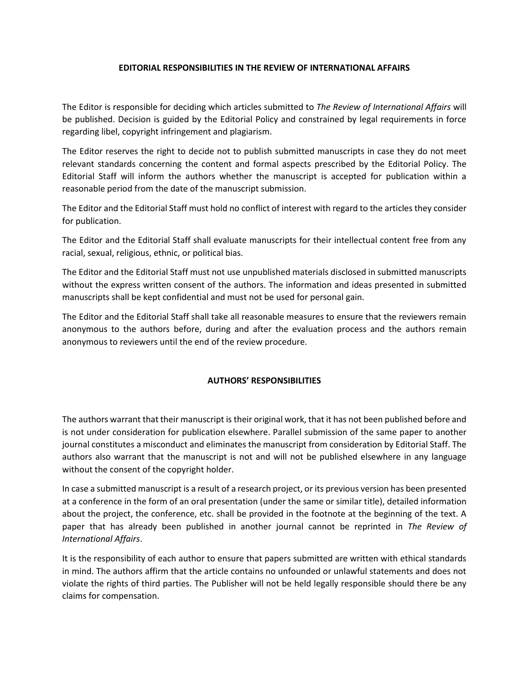## **EDITORIAL RESPONSIBILITIES IN THE REVIEW OF INTERNATIONAL AFFAIRS**

The Editor is responsible for deciding which articles submitted to *The Review of International Affairs* will be published. Decision is guided by the Editorial Policy and constrained by legal requirements in force regarding libel, copyright infringement and plagiarism.

The Editor reserves the right to decide not to publish submitted manuscripts in case they do not meet relevant standards concerning the content and formal aspects prescribed by the Editorial Policy. The Editorial Staff will inform the authors whether the manuscript is accepted for publication within a reasonable period from the date of the manuscript submission.

The Editor and the Editorial Staff must hold no conflict of interest with regard to the articles they consider for publication.

The Editor and the Editorial Staff shall evaluate manuscripts for their intellectual content free from any racial, sexual, religious, ethnic, or political bias.

The Editor and the Editorial Staff must not use unpublished materials disclosed in submitted manuscripts without the express written consent of the authors. The information and ideas presented in submitted manuscripts shall be kept confidential and must not be used for personal gain.

The Editor and the Editorial Staff shall take all reasonable measures to ensure that the reviewers remain anonymous to the authors before, during and after the evaluation process and the authors remain anonymous to reviewers until the end of the review procedure.

## **AUTHORS' RESPONSIBILITIES**

The authors warrant that their manuscript is their original work, that it has not been published before and is not under consideration for publication elsewhere. Parallel submission of the same paper to another journal constitutes a misconduct and eliminates the manuscript from consideration by Editorial Staff. The authors also warrant that the manuscript is not and will not be published elsewhere in any language without the consent of the copyright holder.

In case a submitted manuscript is a result of a research project, or its previous version has been presented at a conference in the form of an oral presentation (under the same or similar title), detailed information about the project, the conference, etc. shall be provided in the footnote at the beginning of the text. A paper that has already been published in another journal cannot be reprinted in *The Review of International Affairs*.

It is the responsibility of each author to ensure that papers submitted are written with ethical standards in mind. The authors affirm that the article contains no unfounded or unlawful statements and does not violate the rights of third parties. The Publisher will not be held legally responsible should there be any claims for compensation.